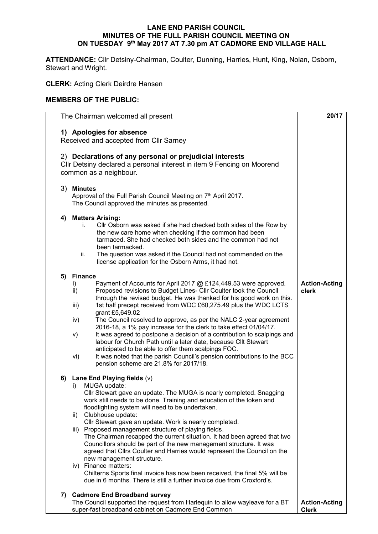## **LANE END PARISH COUNCIL MINUTES OF THE FULL PARISH COUNCIL MEETING ON ON TUESDAY 9 th May 2017 AT 7.30 pm AT CADMORE END VILLAGE HALL**

**ATTENDANCE:** Cllr Detsiny-Chairman, Coulter, Dunning, Harries, Hunt, King, Nolan, Osborn, Stewart and Wright.

**CLERK:** Acting Clerk Deirdre Hansen

## **MEMBERS OF THE PUBLIC:**

|     | The Chairman welcomed all present                                                                                                                                                                                                                                                                                                                                                                                                                                                                                                                                                                                                                                                                                                                                                                                                                | 20/17                                |  |  |  |
|-----|--------------------------------------------------------------------------------------------------------------------------------------------------------------------------------------------------------------------------------------------------------------------------------------------------------------------------------------------------------------------------------------------------------------------------------------------------------------------------------------------------------------------------------------------------------------------------------------------------------------------------------------------------------------------------------------------------------------------------------------------------------------------------------------------------------------------------------------------------|--------------------------------------|--|--|--|
|     | 1) Apologies for absence<br>Received and accepted from Cllr Sarney                                                                                                                                                                                                                                                                                                                                                                                                                                                                                                                                                                                                                                                                                                                                                                               |                                      |  |  |  |
|     | 2) Declarations of any personal or prejudicial interests<br>CIIr Detsiny declared a personal interest in item 9 Fencing on Moorend<br>common as a neighbour.                                                                                                                                                                                                                                                                                                                                                                                                                                                                                                                                                                                                                                                                                     |                                      |  |  |  |
|     | 3) Minutes<br>Approval of the Full Parish Council Meeting on 7th April 2017.<br>The Council approved the minutes as presented.                                                                                                                                                                                                                                                                                                                                                                                                                                                                                                                                                                                                                                                                                                                   |                                      |  |  |  |
| 4)  | <b>Matters Arising:</b><br>Cllr Osborn was asked if she had checked both sides of the Row by<br>İ.<br>the new care home when checking if the common had been<br>tarmaced. She had checked both sides and the common had not<br>been tarmacked.<br>The question was asked if the Council had not commended on the<br>ii.<br>license application for the Osborn Arms, it had not.                                                                                                                                                                                                                                                                                                                                                                                                                                                                  |                                      |  |  |  |
| 5)  | <b>Finance</b><br>Payment of Accounts for April 2017 @ £124,449.53 were approved.<br>i)<br>ii)<br>Proposed revisions to Budget Lines- Cllr Coulter took the Council<br>through the revised budget. He was thanked for his good work on this.<br>1st half precept received from WDC £60,275.49 plus the WDC LCTS<br>iii)<br>grant £5,649.02<br>The Council resolved to approve, as per the NALC 2-year agreement<br>iv)<br>2016-18, a 1% pay increase for the clerk to take effect 01/04/17.<br>It was agreed to postpone a decision of a contribution to scalpings and<br>V)<br>labour for Church Path until a later date, because Cllt Stewart<br>anticipated to be able to offer them scalpings FOC.<br>It was noted that the parish Council's pension contributions to the BCC<br>vi)<br>pension scheme are 21.8% for 2017/18.                | <b>Action-Acting</b><br>clerk        |  |  |  |
| 6)  | Lane End Playing fields $(v)$<br>MUGA update:<br>i)<br>Cllr Stewart gave an update. The MUGA is nearly completed. Snagging<br>work still needs to be done. Training and education of the token and<br>floodlighting system will need to be undertaken.<br>Clubhouse update:<br>ii)<br>Cllr Stewart gave an update. Work is nearly completed.<br>iii) Proposed management structure of playing fields.<br>The Chairman recapped the current situation. It had been agreed that two<br>Councillors should be part of the new management structure. It was<br>agreed that Clirs Coulter and Harries would represent the Council on the<br>new management structure.<br>iv) Finance matters:<br>Chilterns Sports final invoice has now been received, the final 5% will be<br>due in 6 months. There is still a further invoice due from Croxford's. |                                      |  |  |  |
| 7). | <b>Cadmore End Broadband survey</b><br>The Council supported the request from Harlequin to allow wayleave for a BT<br>super-fast broadband cabinet on Cadmore End Common                                                                                                                                                                                                                                                                                                                                                                                                                                                                                                                                                                                                                                                                         | <b>Action-Acting</b><br><b>Clerk</b> |  |  |  |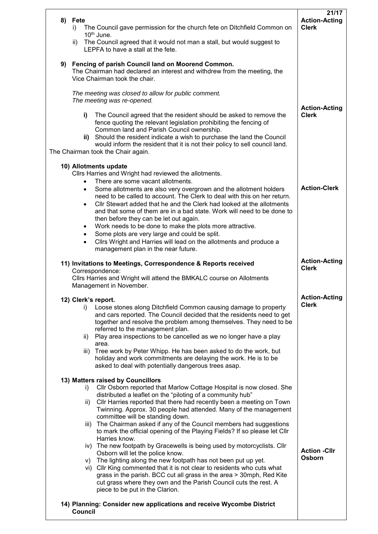|    | 8) Fete<br>The Council gave permission for the church fete on Ditchfield Common on<br>I)                                                                                                                                                                                                                                                                                                                                              | 21/17<br><b>Action-Acting</b><br><b>Clerk</b> |  |  |  |
|----|---------------------------------------------------------------------------------------------------------------------------------------------------------------------------------------------------------------------------------------------------------------------------------------------------------------------------------------------------------------------------------------------------------------------------------------|-----------------------------------------------|--|--|--|
|    | 10 <sup>th</sup> June.<br>ii) The Council agreed that it would not man a stall, but would suggest to<br>LEPFA to have a stall at the fete.                                                                                                                                                                                                                                                                                            |                                               |  |  |  |
| 9) | Fencing of parish Council land on Moorend Common.<br>The Chairman had declared an interest and withdrew from the meeting, the<br>Vice Chairman took the chair.                                                                                                                                                                                                                                                                        |                                               |  |  |  |
|    | The meeting was closed to allow for public comment.<br>The meeting was re-opened.                                                                                                                                                                                                                                                                                                                                                     |                                               |  |  |  |
|    | i)<br>The Council agreed that the resident should be asked to remove the<br>fence quoting the relevant legislation prohibiting the fencing of<br>Common land and Parish Council ownership.<br>ii) Should the resident indicate a wish to purchase the land the Council<br>would inform the resident that it is not their policy to sell council land.<br>The Chairman took the Chair again.                                           | <b>Action-Acting</b><br><b>Clerk</b>          |  |  |  |
|    | 10) Allotments update                                                                                                                                                                                                                                                                                                                                                                                                                 |                                               |  |  |  |
|    | Cllrs Harries and Wright had reviewed the allotments.<br>There are some vacant allotments.<br>$\bullet$<br>Some allotments are also very overgrown and the allotment holders<br>$\bullet$<br>need to be called to account. The Clerk to deal with this on her return.<br>Cllr Stewart added that he and the Clerk had looked at the allotments<br>$\bullet$<br>and that some of them are in a bad state. Work will need to be done to | <b>Action-Clerk</b>                           |  |  |  |
|    | then before they can be let out again.<br>Work needs to be done to make the plots more attractive.<br>$\bullet$<br>Some plots are very large and could be split.<br>$\bullet$<br>Cllrs Wright and Harries will lead on the allotments and produce a<br>$\bullet$<br>management plan in the near future.                                                                                                                               |                                               |  |  |  |
|    | 11) Invitations to Meetings, Correspondence & Reports received<br>Correspondence:<br>Cllrs Harries and Wright will attend the BMKALC course on Allotments<br>Management in November.                                                                                                                                                                                                                                                  |                                               |  |  |  |
|    | 12) Clerk's report.                                                                                                                                                                                                                                                                                                                                                                                                                   |                                               |  |  |  |
|    | Loose stones along Ditchfield Common causing damage to property<br>i)<br>and cars reported. The Council decided that the residents need to get<br>together and resolve the problem among themselves. They need to be<br>referred to the management plan.<br>Play area inspections to be cancelled as we no longer have a play<br>ii)                                                                                                  | <b>Clerk</b>                                  |  |  |  |
|    | area.<br>iii) Tree work by Peter Whipp. He has been asked to do the work, but<br>holiday and work commitments are delaying the work. He is to be<br>asked to deal with potentially dangerous trees asap.                                                                                                                                                                                                                              |                                               |  |  |  |
|    | 13) Matters raised by Councillors<br>Cllr Osborn reported that Marlow Cottage Hospital is now closed. She<br>i).<br>distributed a leaflet on the "piloting of a community hub"                                                                                                                                                                                                                                                        |                                               |  |  |  |
|    | Cllr Harries reported that there had recently been a meeting on Town<br>ii)<br>Twinning. Approx. 30 people had attended. Many of the management<br>committee will be standing down.                                                                                                                                                                                                                                                   |                                               |  |  |  |
|    | iii) The Chairman asked if any of the Council members had suggestions<br>to mark the official opening of the Playing Fields? If so please let Cllr<br>Harries know.                                                                                                                                                                                                                                                                   |                                               |  |  |  |
|    | iv) The new footpath by Gracewells is being used by motorcyclists. Cllr<br>Osborn will let the police know.                                                                                                                                                                                                                                                                                                                           | <b>Action -Cllr</b><br><b>Osborn</b>          |  |  |  |
|    | v) The lighting along the new footpath has not been put up yet.<br>vi) Cllr King commented that it is not clear to residents who cuts what<br>grass in the parish. BCC cut all grass in the area > 30mph, Red Kite<br>cut grass where they own and the Parish Council cuts the rest. A<br>piece to be put in the Clarion.                                                                                                             |                                               |  |  |  |
|    | 14) Planning: Consider new applications and receive Wycombe District<br>Council                                                                                                                                                                                                                                                                                                                                                       |                                               |  |  |  |